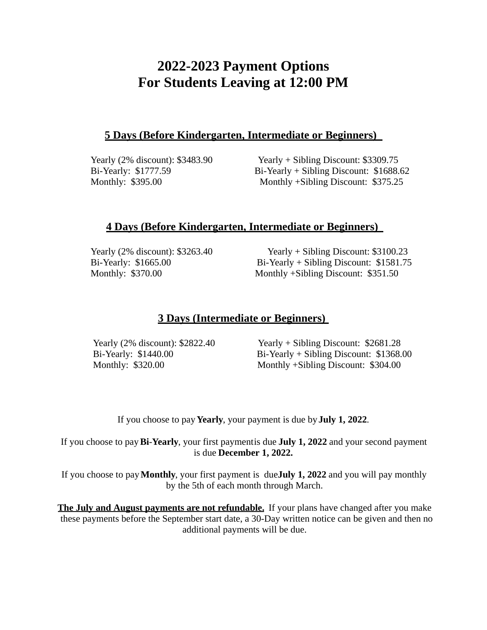# **2022-2023 Payment Options For Students Leaving at 12:00 PM**

### **5 Days (Before Kindergarten, Intermediate or Beginners)**

Yearly (2% discount): \$3483.90 Yearly + Sibling Discount: \$3309.75 Bi-Yearly: \$1777.59 Bi-Yearly + Sibling Discount: \$1688.62 Monthly: \$395.00 Monthly +Sibling Discount: \$375.25

### **4 Days (Before Kindergarten, Intermediate or Beginners)**

Yearly (2% discount): \$3263.40 Yearly + Sibling Discount: \$3100.23 Bi-Yearly: \$1665.00 Bi-Yearly + Sibling Discount: \$1581.75 Monthly: \$370.00 Monthly +Sibling Discount: \$351.50

## **3 Days (Intermediate or Beginners)**

Yearly (2% discount): \$2822.40 Yearly + Sibling Discount: \$2681.28 Bi-Yearly: \$1440.00 Bi-Yearly + Sibling Discount: \$1368.00 Monthly: \$320.00 Monthly +Sibling Discount: \$304.00

If you choose to pay **Yearly**, your payment is due by**July 1, 2022**.

If you choose to pay**Bi**-**Yearly**, your first paymentis due **July 1, 2022** and your second payment is due **December 1, 2022.**

If you choose to pay**Monthly**, your first payment is due**July 1, 2022** and you will pay monthly by the 5th of each month through March.

**The July and August payments are not refundable.** If your plans have changed after you make these payments before the September start date, a 30-Day written notice can be given and then no additional payments will be due.